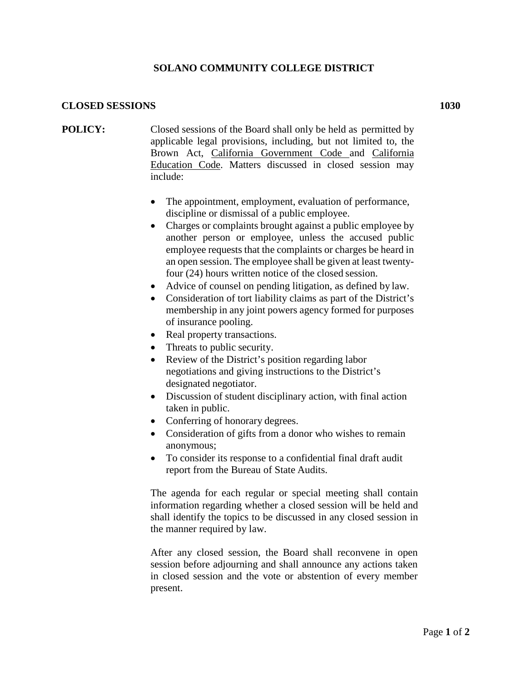## **SOLANO COMMUNITY COLLEGE DISTRICT**

## **CLOSED SESSIONS 1030**

- **POLICY:** Closed sessions of the Board shall only be held as permitted by applicable legal provisions, including, but not limited to, the Brown Act, California Government Code and California Education Code. Matters discussed in closed session may include:
	- The appointment, employment, evaluation of performance, discipline or dismissal of a public employee.
	- Charges or complaints brought against a public employee by another person or employee, unless the accused public employee requests that the complaints or charges be heard in an open session. The employee shall be given at least twentyfour (24) hours written notice of the closed session.
	- Advice of counsel on pending litigation, as defined by law.
	- Consideration of tort liability claims as part of the District's membership in any joint powers agency formed for purposes of insurance pooling.
	- Real property transactions.
	- Threats to public security.
	- Review of the District's position regarding labor negotiations and giving instructions to the District's designated negotiator.
	- Discussion of student disciplinary action, with final action taken in public.
	- Conferring of honorary degrees.
	- Consideration of gifts from a donor who wishes to remain anonymous;
	- To consider its response to a confidential final draft audit report from the Bureau of State Audits.

The agenda for each regular or special meeting shall contain information regarding whether a closed session will be held and shall identify the topics to be discussed in any closed session in the manner required by law.

After any closed session, the Board shall reconvene in open session before adjourning and shall announce any actions taken in closed session and the vote or abstention of every member present.